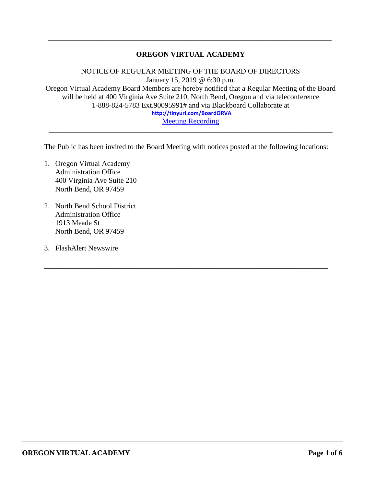# **OREGON VIRTUAL ACADEMY**

\_\_\_\_\_\_\_\_\_\_\_\_\_\_\_\_\_\_\_\_\_\_\_\_\_\_\_\_\_\_\_\_\_\_\_\_\_\_\_\_\_\_\_\_\_\_\_\_\_\_\_\_\_\_\_\_\_\_\_\_\_\_\_\_\_\_\_\_\_\_\_\_\_\_\_\_\_

NOTICE OF REGULAR MEETING OF THE BOARD OF DIRECTORS January 15, 2019 @ 6:30 p.m. Oregon Virtual Academy Board Members are hereby notified that a Regular Meeting of the Board will be held at 400 Virginia Ave Suite 210, North Bend, Oregon and via teleconference 1-888-824-5783 Ext.90095991# and via Blackboard Collaborate at **<http://tinyurl.com/BoardORVA>** [Meeting Recording](https://sas.elluminate.com/site/external/launch/nativeplayback.jnlp?sid=559&psid=2019-01-15.1914.M.4BD84C2E38819C8D07E06941AC5558.vcr)

The Public has been invited to the Board Meeting with notices posted at the following locations:

\_\_\_\_\_\_\_\_\_\_\_\_\_\_\_\_\_\_\_\_\_\_\_\_\_\_\_\_\_\_\_\_\_\_\_\_\_\_\_\_\_\_\_\_\_\_\_\_\_\_\_\_\_\_\_\_\_\_\_\_\_\_\_\_\_\_\_\_\_\_\_\_\_\_\_\_\_

\_\_\_\_\_\_\_\_\_\_\_\_\_\_\_\_\_\_\_\_\_\_\_\_\_\_\_\_\_\_\_\_\_\_\_\_\_\_\_\_\_\_\_\_\_\_\_\_\_\_\_\_\_\_\_\_\_\_\_\_\_\_\_\_\_\_\_\_\_\_\_\_\_\_\_\_\_

- 1. Oregon Virtual Academy Administration Office 400 Virginia Ave Suite 210 North Bend, OR 97459
- 2. North Bend School District Administration Office 1913 Meade St North Bend, OR 97459
- 3. FlashAlert Newswire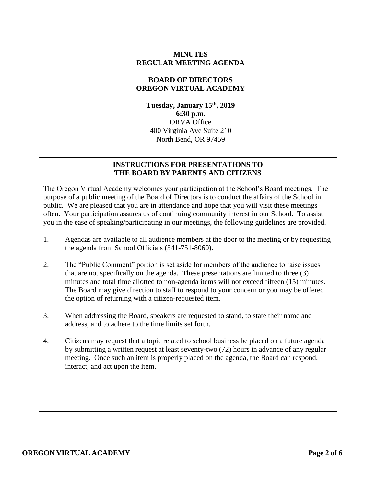#### **MINUTES REGULAR MEETING AGENDA**

#### **BOARD OF DIRECTORS OREGON VIRTUAL ACADEMY**

**Tuesday, January 15th , 2019 6:30 p.m.** ORVA Office 400 Virginia Ave Suite 210 North Bend, OR 97459

#### **INSTRUCTIONS FOR PRESENTATIONS TO THE BOARD BY PARENTS AND CITIZENS**

The Oregon Virtual Academy welcomes your participation at the School's Board meetings. The purpose of a public meeting of the Board of Directors is to conduct the affairs of the School in public. We are pleased that you are in attendance and hope that you will visit these meetings often. Your participation assures us of continuing community interest in our School. To assist you in the ease of speaking/participating in our meetings, the following guidelines are provided.

- 1. Agendas are available to all audience members at the door to the meeting or by requesting the agenda from School Officials (541-751-8060).
- 2. The "Public Comment" portion is set aside for members of the audience to raise issues that are not specifically on the agenda. These presentations are limited to three (3) minutes and total time allotted to non-agenda items will not exceed fifteen (15) minutes. The Board may give direction to staff to respond to your concern or you may be offered the option of returning with a citizen-requested item.
- 3. When addressing the Board, speakers are requested to stand, to state their name and address, and to adhere to the time limits set forth.
- 4. Citizens may request that a topic related to school business be placed on a future agenda by submitting a written request at least seventy-two (72) hours in advance of any regular meeting. Once such an item is properly placed on the agenda, the Board can respond, interact, and act upon the item.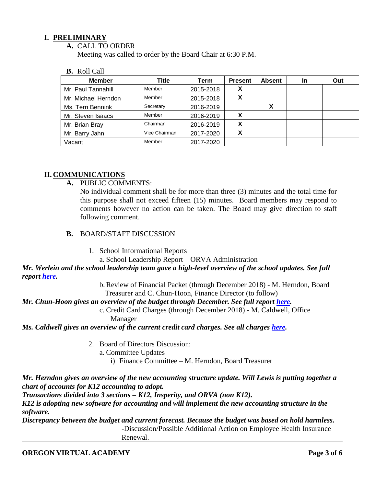# **I. PRELIMINARY**

**A.** CALL TO ORDER

Meeting was called to order by the Board Chair at 6:30 P.M.

**B.** Roll Call

| <b>Member</b>       | Title         | Term      | <b>Present</b> | <b>Absent</b> | <b>In</b> | Out |
|---------------------|---------------|-----------|----------------|---------------|-----------|-----|
| Mr. Paul Tannahill  | Member        | 2015-2018 | X              |               |           |     |
| Mr. Michael Herndon | Member        | 2015-2018 | χ              |               |           |     |
| Ms. Terri Bennink   | Secretary     | 2016-2019 |                | х             |           |     |
| Mr. Steven Isaacs   | Member        | 2016-2019 | х              |               |           |     |
| Mr. Brian Bray      | Chairman      | 2016-2019 | х              |               |           |     |
| Mr. Barry Jahn      | Vice Chairman | 2017-2020 | X              |               |           |     |
| Vacant              | Member        | 2017-2020 |                |               |           |     |

# **II. COMMUNICATIONS**

**A.** PUBLIC COMMENTS:

No individual comment shall be for more than three (3) minutes and the total time for this purpose shall not exceed fifteen (15) minutes. Board members may respond to comments however no action can be taken. The Board may give direction to staff following comment.

- **B.** BOARD/STAFF DISCUSSION
	- 1. School Informational Reports

a. School Leadership Report – ORVA Administration

#### *Mr. Werlein and the school leadership team gave a high-level overview of the school updates. See full report [here.](../../../../../../../../:b:/g/personal/mecaldwell_oregonva_org/EbOm0tm7d8lJryWckFRpZVgBQp7ytHyoYRyO9gLJ75EKCQ?e=CTIGWA)*

b.Review of Financial Packet (through December 2018) - M. Herndon, Board Treasurer and C. Chun-Hoon, Finance Director (to follow)

#### *Mr. Chun-Hoon gives an overview of the budget through December. See full report [here.](../../../../../../../../:p:/g/personal/mecaldwell_oregonva_org/EbaOhudUiGlJjA8Bqwh9sDABakVKIc52oH2LKgKtOvSpag?e=9JNL1m)*

c. Credit Card Charges (through December 2018) - M. Caldwell, Office Manager

*Ms. Caldwell gives an overview of the current credit card charges. See all charges [here.](../../../../../../../../:p:/g/personal/mecaldwell_oregonva_org/EQhszwJpf7dAgM_OLNuO6zYB3sLf0gGAumcqzUvXbBpONQ?e=fRYajP)* 

2. Board of Directors Discussion:

a. Committee Updates

i) Finance Committee – M. Herndon, Board Treasurer

# *Mr. Herndon gives an overview of the new accounting structure update. Will Lewis is putting together a chart of accounts for K12 accounting to adopt.*

*Transactions divided into 3 sections – K12, Insperity, and ORVA (non K12).*

*K12 is adopting new software for accounting and will implement the new accounting structure in the software.* 

*Discrepancy between the budget and current forecast. Because the budget was based on hold harmless.*  -Discussion/Possible Additional Action on Employee Health Insurance Renewal.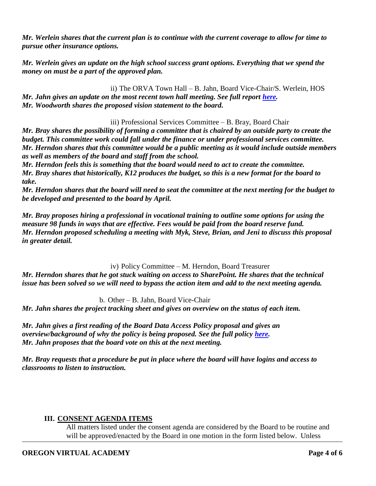*Mr. Werlein shares that the current plan is to continue with the current coverage to allow for time to pursue other insurance options.* 

*Mr. Werlein gives an update on the high school success grant options. Everything that we spend the money on must be a part of the approved plan.* 

ii) The ORVA Town Hall – B. Jahn, Board Vice-Chair/S. Werlein, HOS *Mr. Jahn gives an update on the most recent town hall meeting. See full report [here.](../../../../../../../../:b:/g/personal/mecaldwell_oregonva_org/Ecvn_8OsdjhGtMiWxqlTJUgBdgVcI0ibWQt5OClyjq5wHA?e=kk2rFz) Mr. Woodworth shares the proposed vision statement to the board.* 

iii) Professional Services Committee – B. Bray, Board Chair

*Mr. Bray shares the possibility of forming a committee that is chaired by an outside party to create the budget. This committee work could fall under the finance or under professional services committee. Mr. Herndon shares that this committee would be a public meeting as it would include outside members as well as members of the board and staff from the school.* 

*Mr. Herndon feels this is something that the board would need to act to create the committee. Mr. Bray shares that historically, K12 produces the budget, so this is a new format for the board to take.* 

*Mr. Herndon shares that the board will need to seat the committee at the next meeting for the budget to be developed and presented to the board by April.* 

*Mr. Bray proposes hiring a professional in vocational training to outline some options for using the measure 98 funds in ways that are effective. Fees would be paid from the board reserve fund. Mr. Herndon proposed scheduling a meeting with Myk, Steve, Brian, and Jeni to discuss this proposal in greater detail.* 

iv) Policy Committee – M. Herndon, Board Treasurer

*Mr. Herndon shares that he got stuck waiting on access to SharePoint. He shares that the technical issue has been solved so we will need to bypass the action item and add to the next meeting agenda.*

b. Other – B. Jahn, Board Vice-Chair

*Mr. Jahn shares the project tracking sheet and gives on overview on the status of each item.*

*Mr. Jahn gives a first reading of the Board Data Access Policy proposal and gives an overview/background of why the policy is being proposed. See the full policy [here.](../../../../../../../../:w:/g/personal/mecaldwell_oregonva_org/Eb7PGmx7su9MjHFwXsx1BKsBU-RgPcoe-7TPw5QdgbNMHw?e=Iey7eI) Mr. Jahn proposes that the board vote on this at the next meeting.* 

*Mr. Bray requests that a procedure be put in place where the board will have logins and access to classrooms to listen to instruction.* 

# **III. CONSENT AGENDA ITEMS**

All matters listed under the consent agenda are considered by the Board to be routine and will be approved/enacted by the Board in one motion in the form listed below. Unless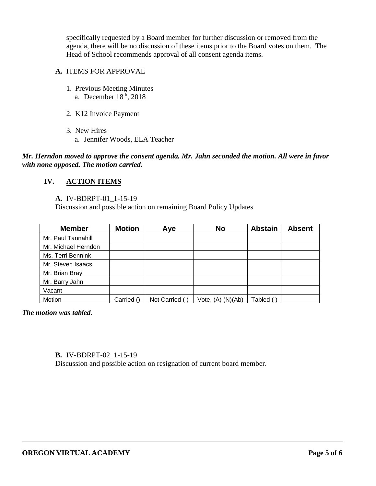specifically requested by a Board member for further discussion or removed from the agenda, there will be no discussion of these items prior to the Board votes on them. The Head of School recommends approval of all consent agenda items.

# **A.** ITEMS FOR APPROVAL

- 1. Previous Meeting Minutes a. December  $18^{\text{th}}$ , 2018
- 2. K12 Invoice Payment
- 3. New Hires a. Jennifer Woods, ELA Teacher

*Mr. Herndon moved to approve the consent agenda. Mr. Jahn seconded the motion. All were in favor with none opposed. The motion carried.* 

# **IV. ACTION ITEMS**

#### **A.** IV-BDRPT-01\_1-15-19

Discussion and possible action on remaining Board Policy Updates

| <b>Member</b>       | <b>Motion</b> | Aye           | <b>No</b>             | <b>Abstain</b> | <b>Absent</b> |
|---------------------|---------------|---------------|-----------------------|----------------|---------------|
| Mr. Paul Tannahill  |               |               |                       |                |               |
| Mr. Michael Herndon |               |               |                       |                |               |
| Ms. Terri Bennink   |               |               |                       |                |               |
| Mr. Steven Isaacs   |               |               |                       |                |               |
| Mr. Brian Bray      |               |               |                       |                |               |
| Mr. Barry Jahn      |               |               |                       |                |               |
| Vacant              |               |               |                       |                |               |
| Motion              | Carried ()    | Not Carried ( | Vote, $(A)$ $(N)(Ab)$ | Tabled (       |               |

*The motion was tabled.*

#### **B.** IV-BDRPT-02\_1-15-19

Discussion and possible action on resignation of current board member.